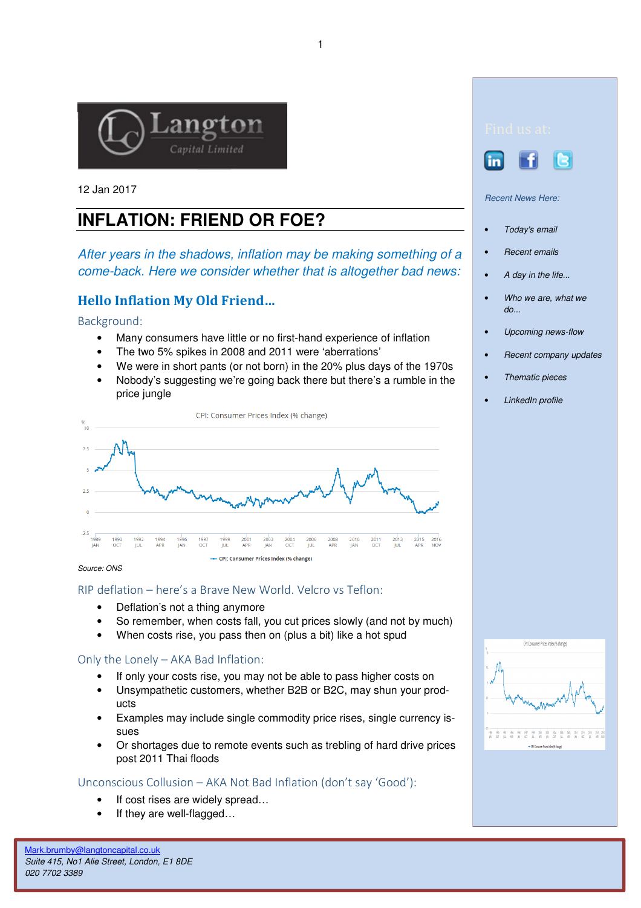

12 Jan 2017

# **INFLATION: FRIEND OR FOE?**

After years in the shadows, inflation may be making something of a come-back. Here we consider whether that is altogether bad news:

## Hello Inflation My Old Friend…

Background:

- Many consumers have little or no first-hand experience of inflation
- The two 5% spikes in 2008 and 2011 were 'aberrations'
- We were in short pants (or not born) in the 20% plus days of the 1970s
- Nobody's suggesting we're going back there but there's a rumble in the price jungle



Source: ONS

## RIP deflation – here's a Brave New World. Velcro vs Teflon:

- Deflation's not a thing anymore
- So remember, when costs fall, you cut prices slowly (and not by much)
- When costs rise, you pass then on (plus a bit) like a hot spud

## Only the Lonely – AKA Bad Inflation:

- If only your costs rise, you may not be able to pass higher costs on
- Unsympathetic customers, whether B2B or B2C, may shun your products
- Examples may include single commodity price rises, single currency issues
- Or shortages due to remote events such as trebling of hard drive prices post 2011 Thai floods

## Unconscious Collusion – AKA Not Bad Inflation (don't say 'Good'):

- If cost rises are widely spread...
- If they are well-flagged...



Recent News Here:

- Today's email
- Recent emails
- A day in the life...
- Who we are, what we do...
- Upcoming news-flow
- Recent company updates
- Thematic pieces
- LinkedIn profile